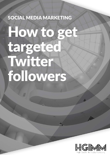## SOCIAL MEDIA MARKETING

# How to get targeted Twitter followers

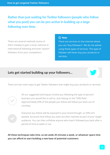## **Rather than just waiting for Twitter followers (people who follow what you post) you can be pro-active in building up a large following over time.**

There are several methods (some of them sneaky) to gain a local, national or international following and even "poach" followers from your competitors.

#### (i) Note

There are services on the internet where you can "buy followers". We do not advise using these types of services. This type of follower will never buy your products or services.

## **Lets get started building up your followers…**





All our suggested techniques involve you following the type of person/ business you would like to sell to, and relying on the "50% Rule". Approximately 50% of the people you follow will follow you back out of courtesy.



Everyone you follow will be exposed to your brand though, so 50% isn't wasted. Accounts that follow you back are then reached as part of your target audience. You can then unfollow anyone who hasn't followed you back after a period of time (a week or so).

**All these techniques take time, so set aside 20 minutes a week, or whatever spare time you can afford to start building a new base of potential customers.**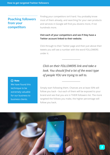## **Poaching followers from your competitors**

Finding your competitors isn't hard. You probably know most of them already, and searching for your own products and services in Google will find you dozens more, if not hundreds more.

#### **Visit each of your competitors and see if they have a Twitter account linked to their website.**

Click through to their Twitter page and then just above their tweets you will see a number with the word FOLLOWERS under it.

*Click on their FOLLOWERS link and take a look. You should find a lot of the exact type of people YOU are trying to sell to.*

(i) Note

We have found this technique to be extremely valuable for our business to business clients.

Simply start following them. Chances are at least 50% will follow you back – but each of them will be exposed to your brand and see that you are in THEIR followers list. The more targeted the follows you make, the higher percentage will follow you back.

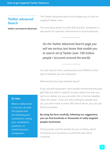## **Twitter advanced Search**

**twitter.com/search-advanced**

The Twitter advanced search tool enables you to look for targeted Twitter users.

This technique works for both B2B and B2C companies. It also works for national, international or local businesses.

*On the Twitter Advanced Search page you will see various text boxes that enable you to search all of Twitter (over 100 million people / accounts around the world).*

You will need to think carefully about the PROFILE of the type of follower you are looking for.

What would they have tweeted about?

If you sell golf equipment, then people mentioning they play golf AND are within a specific location within the area you sell to (or deliver to), you can enter this in the box labelled "Near this place". If you are only looking for people near you, you don't have to enter ANY search terms, you can just find local people.

### **By using the form carefully, following our suggestions, you can find hundreds or thousands of really targeted people/ businesses.**

These people could be perfect for you to follow, which introduces your business to a potential new client/ customer.

#### (i) Note

What is really clever is that you can also find people that are following your competitors, asking your competitors questions, or mentioning your competitors.